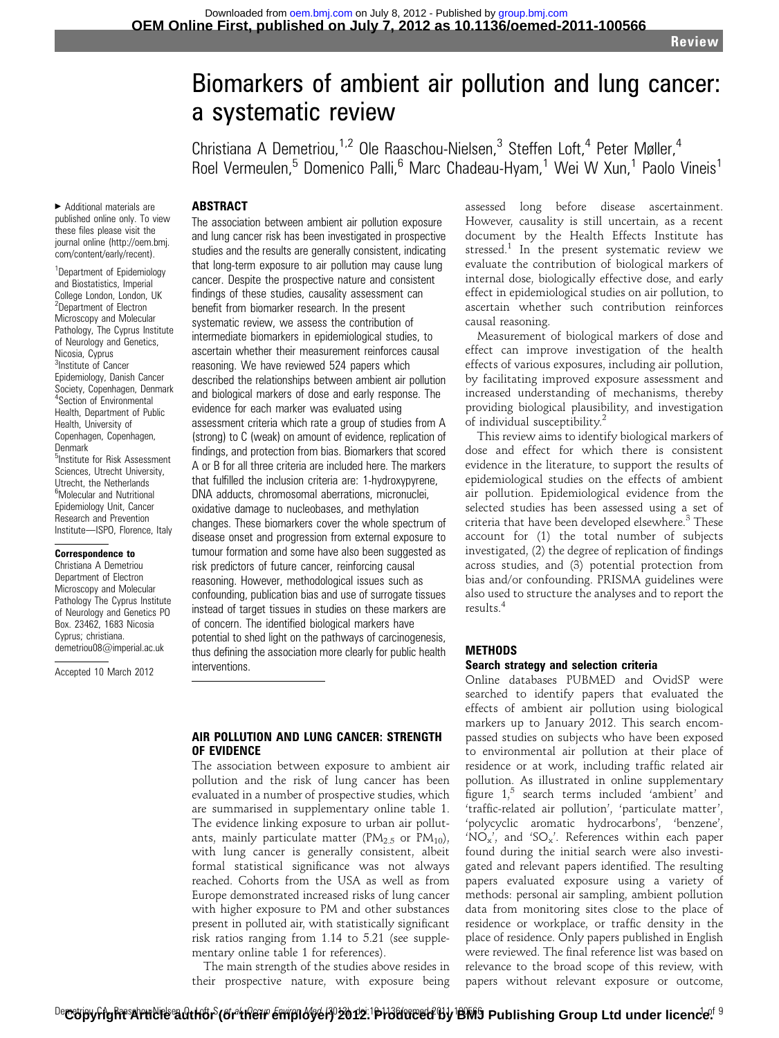# Biomarkers of ambient air pollution and lung cancer: a systematic review

Christiana A Demetriou,<sup>1,2</sup> Ole Raaschou-Nielsen,<sup>3</sup> Steffen Loft,<sup>4</sup> Peter Møller,<sup>4</sup> Roel Vermeulen,<sup>5</sup> Domenico Palli,<sup>6</sup> Marc Chadeau-Hyam,<sup>1</sup> Wei W Xun,<sup>1</sup> Paolo Vineis<sup>1</sup>

# **ABSTRACT**

< Additional materials are published online only. To view these files please visit the journal online (http://oem.bmj. com/content/early/recent).

<sup>1</sup>Department of Epidemiology and Biostatistics, Imperial College London, London, UK <sup>2</sup>Department of Electron Microscopy and Molecular Pathology, The Cyprus Institute of Neurology and Genetics, Nicosia, Cyprus <sup>3</sup>Institute of Cancer Epidemiology, Danish Cancer Society, Copenhagen, Denmark 4 Section of Environmental Health, Department of Public Health, University of Copenhagen, Copenhagen, Denmark <sup>5</sup>Institute for Risk Assessment Sciences, Utrecht University, Utrecht, the Netherlands <sup>6</sup>Molecular and Nutritional Epidemiology Unit, Cancer Research and Prevention Institute-ISPO, Florence, Italy

#### Correspondence to

Christiana A Demetriou Department of Electron Microscopy and Molecular Pathology The Cyprus Institute of Neurology and Genetics PO Box. 23462, 1683 Nicosia Cyprus; christiana. demetriou08@imperial.ac.uk

Accepted 10 March 2012

The association between ambient air pollution exposure and lung cancer risk has been investigated in prospective studies and the results are generally consistent, indicating that long-term exposure to air pollution may cause lung cancer. Despite the prospective nature and consistent findings of these studies, causality assessment can benefit from biomarker research. In the present systematic review, we assess the contribution of intermediate biomarkers in epidemiological studies, to ascertain whether their measurement reinforces causal reasoning. We have reviewed 524 papers which described the relationships between ambient air pollution and biological markers of dose and early response. The evidence for each marker was evaluated using assessment criteria which rate a group of studies from A (strong) to C (weak) on amount of evidence, replication of findings, and protection from bias. Biomarkers that scored A or B for all three criteria are included here. The markers that fulfilled the inclusion criteria are: 1-hydroxypyrene, DNA adducts, chromosomal aberrations, micronuclei, oxidative damage to nucleobases, and methylation changes. These biomarkers cover the whole spectrum of disease onset and progression from external exposure to tumour formation and some have also been suggested as risk predictors of future cancer, reinforcing causal reasoning. However, methodological issues such as confounding, publication bias and use of surrogate tissues instead of target tissues in studies on these markers are of concern. The identified biological markers have potential to shed light on the pathways of carcinogenesis, thus defining the association more clearly for public health interventions.

#### AIR POLLUTION AND LUNG CANCER: STRENGTH OF EVIDENCE

The association between exposure to ambient air pollution and the risk of lung cancer has been evaluated in a number of prospective studies, which are summarised in supplementary online table 1. The evidence linking exposure to urban air pollutants, mainly particulate matter ( $PM_{2.5}$  or  $PM_{10}$ ), with lung cancer is generally consistent, albeit formal statistical significance was not always reached. Cohorts from the USA as well as from Europe demonstrated increased risks of lung cancer with higher exposure to PM and other substances present in polluted air, with statistically significant risk ratios ranging from 1.14 to 5.21 (see supplementary online table 1 for references).

The main strength of the studies above resides in their prospective nature, with exposure being assessed long before disease ascertainment. However, causality is still uncertain, as a recent document by the Health Effects Institute has stressed.<sup>1</sup> In the present systematic review we evaluate the contribution of biological markers of internal dose, biologically effective dose, and early effect in epidemiological studies on air pollution, to ascertain whether such contribution reinforces causal reasoning.

Measurement of biological markers of dose and effect can improve investigation of the health effects of various exposures, including air pollution, by facilitating improved exposure assessment and increased understanding of mechanisms, thereby providing biological plausibility, and investigation of individual susceptibility.<sup>2</sup>

This review aims to identify biological markers of dose and effect for which there is consistent evidence in the literature, to support the results of epidemiological studies on the effects of ambient air pollution. Epidemiological evidence from the selected studies has been assessed using a set of criteria that have been developed elsewhere.<sup>3</sup> These account for (1) the total number of subjects investigated, (2) the degree of replication of findings across studies, and (3) potential protection from bias and/or confounding. PRISMA guidelines were also used to structure the analyses and to report the results.<sup>4</sup>

#### **METHODS**

#### Search strategy and selection criteria

Online databases PUBMED and OvidSP were searched to identify papers that evaluated the effects of ambient air pollution using biological markers up to January 2012. This search encompassed studies on subjects who have been exposed to environmental air pollution at their place of residence or at work, including traffic related air pollution. As illustrated in online supplementary figure 1,5 search terms included 'ambient' and 'traffic-related air pollution', 'particulate matter', 'polycyclic aromatic hydrocarbons', 'benzene', 'NOx', and 'SOx'. References within each paper found during the initial search were also investigated and relevant papers identified. The resulting papers evaluated exposure using a variety of methods: personal air sampling, ambient pollution data from monitoring sites close to the place of residence or workplace, or traffic density in the place of residence. Only papers published in English were reviewed. The final reference list was based on relevance to the broad scope of this review, with papers without relevant exposure or outcome,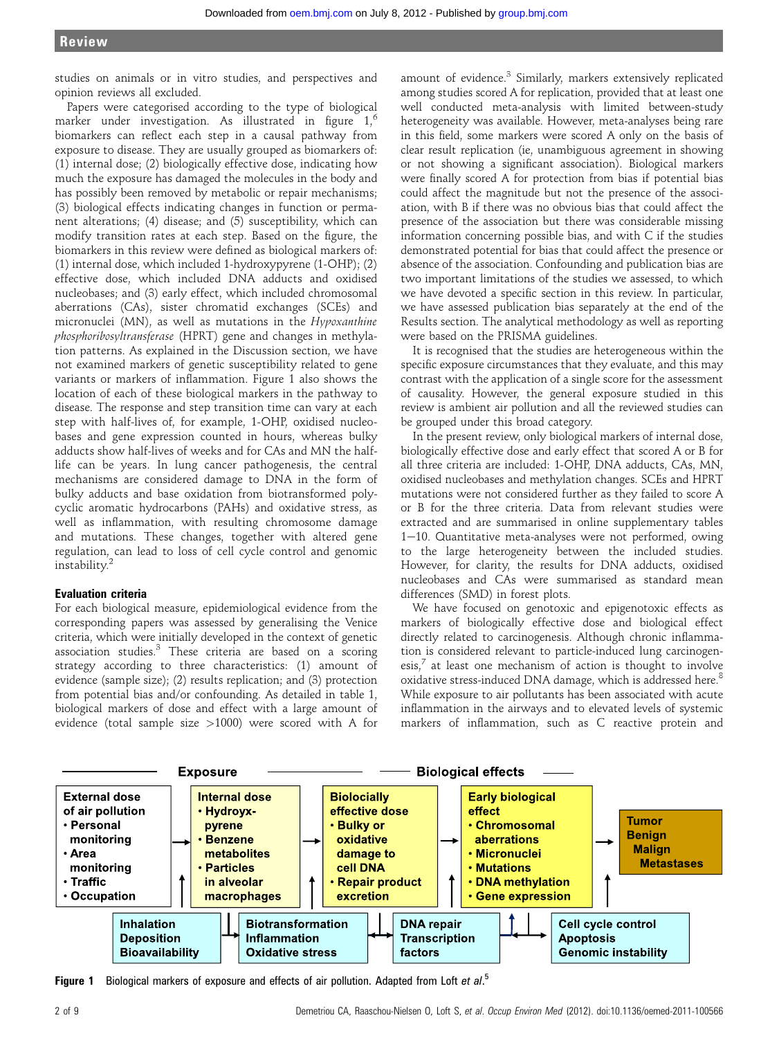studies on animals or in vitro studies, and perspectives and opinion reviews all excluded.

Papers were categorised according to the type of biological marker under investigation. As illustrated in figure  $1<sup>6</sup>$ biomarkers can reflect each step in a causal pathway from exposure to disease. They are usually grouped as biomarkers of: (1) internal dose; (2) biologically effective dose, indicating how much the exposure has damaged the molecules in the body and has possibly been removed by metabolic or repair mechanisms; (3) biological effects indicating changes in function or permanent alterations; (4) disease; and (5) susceptibility, which can modify transition rates at each step. Based on the figure, the biomarkers in this review were defined as biological markers of: (1) internal dose, which included 1-hydroxypyrene (1-OHP); (2) effective dose, which included DNA adducts and oxidised nucleobases; and (3) early effect, which included chromosomal aberrations (CAs), sister chromatid exchanges (SCEs) and micronuclei (MN), as well as mutations in the Hypoxanthine phosphoribosyltransferase (HPRT) gene and changes in methylation patterns. As explained in the Discussion section, we have not examined markers of genetic susceptibility related to gene variants or markers of inflammation. Figure 1 also shows the location of each of these biological markers in the pathway to disease. The response and step transition time can vary at each step with half-lives of, for example, 1-OHP, oxidised nucleobases and gene expression counted in hours, whereas bulky adducts show half-lives of weeks and for CAs and MN the halflife can be years. In lung cancer pathogenesis, the central mechanisms are considered damage to DNA in the form of bulky adducts and base oxidation from biotransformed polycyclic aromatic hydrocarbons (PAHs) and oxidative stress, as well as inflammation, with resulting chromosome damage and mutations. These changes, together with altered gene regulation, can lead to loss of cell cycle control and genomic instability.<sup>2</sup>

#### Evaluation criteria

For each biological measure, epidemiological evidence from the corresponding papers was assessed by generalising the Venice criteria, which were initially developed in the context of genetic association studies.<sup>3</sup> These criteria are based on a scoring strategy according to three characteristics: (1) amount of evidence (sample size); (2) results replication; and (3) protection from potential bias and/or confounding. As detailed in table 1, biological markers of dose and effect with a large amount of evidence (total sample size >1000) were scored with A for

amount of evidence.<sup>3</sup> Similarly, markers extensively replicated among studies scored A for replication, provided that at least one well conducted meta-analysis with limited between-study heterogeneity was available. However, meta-analyses being rare in this field, some markers were scored A only on the basis of clear result replication (ie, unambiguous agreement in showing or not showing a significant association). Biological markers were finally scored A for protection from bias if potential bias could affect the magnitude but not the presence of the association, with B if there was no obvious bias that could affect the presence of the association but there was considerable missing information concerning possible bias, and with C if the studies demonstrated potential for bias that could affect the presence or absence of the association. Confounding and publication bias are two important limitations of the studies we assessed, to which we have devoted a specific section in this review. In particular, we have assessed publication bias separately at the end of the Results section. The analytical methodology as well as reporting were based on the PRISMA guidelines.

It is recognised that the studies are heterogeneous within the specific exposure circumstances that they evaluate, and this may contrast with the application of a single score for the assessment of causality. However, the general exposure studied in this review is ambient air pollution and all the reviewed studies can be grouped under this broad category.

In the present review, only biological markers of internal dose, biologically effective dose and early effect that scored A or B for all three criteria are included: 1-OHP, DNA adducts, CAs, MN, oxidised nucleobases and methylation changes. SCEs and HPRT mutations were not considered further as they failed to score A or B for the three criteria. Data from relevant studies were extracted and are summarised in online supplementary tables 1-10. Quantitative meta-analyses were not performed, owing to the large heterogeneity between the included studies. However, for clarity, the results for DNA adducts, oxidised nucleobases and CAs were summarised as standard mean differences (SMD) in forest plots.

We have focused on genotoxic and epigenotoxic effects as markers of biologically effective dose and biological effect directly related to carcinogenesis. Although chronic inflammation is considered relevant to particle-induced lung carcinogen $e$ sis, $\frac{7}{7}$  at least one mechanism of action is thought to involve oxidative stress-induced DNA damage, which is addressed here.<sup>8</sup> While exposure to air pollutants has been associated with acute inflammation in the airways and to elevated levels of systemic markers of inflammation, such as C reactive protein and



Figure 1 Biological markers of exposure and effects of air pollution. Adapted from Loft et al.<sup>5</sup>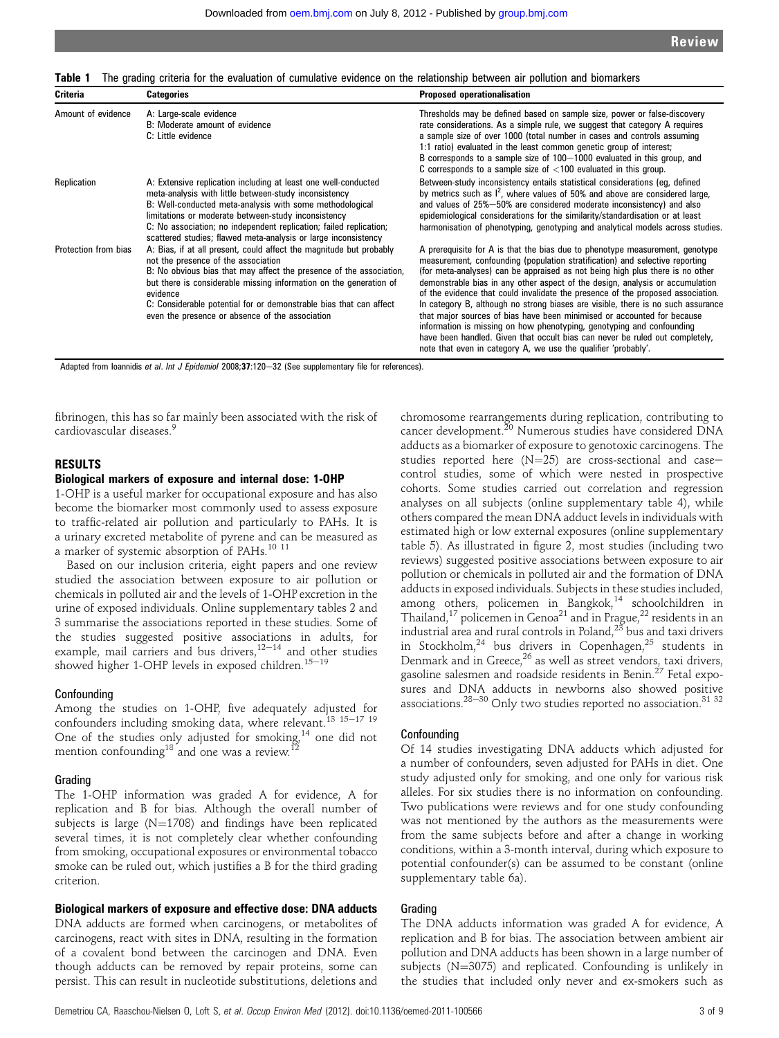#### Table 1 The grading criteria for the evaluation of cumulative evidence on the relationship between air pollution and biomarkers

| Criteria             | <b>Categories</b>                                                                                                                                                                                                                                                                                                                                                                            | <b>Proposed operationalisation</b>                                                                                                                                                                                                                                                                                                                                                                                                                                                                                                                                                                                                                                                                                                                                                                          |  |  |  |  |
|----------------------|----------------------------------------------------------------------------------------------------------------------------------------------------------------------------------------------------------------------------------------------------------------------------------------------------------------------------------------------------------------------------------------------|-------------------------------------------------------------------------------------------------------------------------------------------------------------------------------------------------------------------------------------------------------------------------------------------------------------------------------------------------------------------------------------------------------------------------------------------------------------------------------------------------------------------------------------------------------------------------------------------------------------------------------------------------------------------------------------------------------------------------------------------------------------------------------------------------------------|--|--|--|--|
| Amount of evidence   | A: Large-scale evidence<br>B: Moderate amount of evidence<br>C: Little evidence                                                                                                                                                                                                                                                                                                              | Thresholds may be defined based on sample size, power or false-discovery<br>rate considerations. As a simple rule, we suggest that category A requires<br>a sample size of over 1000 (total number in cases and controls assuming<br>1:1 ratio) evaluated in the least common genetic group of interest;<br>B corresponds to a sample size of 100-1000 evaluated in this group, and<br>C corresponds to a sample size of $\langle 100 \rangle$ evaluated in this group.                                                                                                                                                                                                                                                                                                                                     |  |  |  |  |
| Replication          | A: Extensive replication including at least one well-conducted<br>meta-analysis with little between-study inconsistency<br>B: Well-conducted meta-analysis with some methodological<br>limitations or moderate between-study inconsistency<br>C: No association; no independent replication; failed replication;<br>scattered studies; flawed meta-analysis or large inconsistency           | Between-study inconsistency entails statistical considerations (eg, defined<br>by metrics such as $I^2$ , where values of 50% and above are considered large,<br>and values of 25%-50% are considered moderate inconsistency) and also<br>epidemiological considerations for the similarity/standardisation or at least<br>harmonisation of phenotyping, genotyping and analytical models across studies.                                                                                                                                                                                                                                                                                                                                                                                                   |  |  |  |  |
| Protection from bias | A: Bias, if at all present, could affect the magnitude but probably<br>not the presence of the association<br>B: No obvious bias that may affect the presence of the association,<br>but there is considerable missing information on the generation of<br>evidence<br>C: Considerable potential for or demonstrable bias that can affect<br>even the presence or absence of the association | A prerequisite for A is that the bias due to phenotype measurement, genotype<br>measurement, confounding (population stratification) and selective reporting<br>(for meta-analyses) can be appraised as not being high plus there is no other<br>demonstrable bias in any other aspect of the design, analysis or accumulation<br>of the evidence that could invalidate the presence of the proposed association.<br>In category B, although no strong biases are visible, there is no such assurance<br>that major sources of bias have been minimised or accounted for because<br>information is missing on how phenotyping, genotyping and confounding<br>have been handled. Given that occult bias can never be ruled out completely,<br>note that even in category A, we use the qualifier 'probably'. |  |  |  |  |

Adapted from Ioannidis et al. Int J Epidemiol 2008;37:120-32 (See supplementary file for references).

fibrinogen, this has so far mainly been associated with the risk of cardiovascular diseases.<sup>5</sup>

# RESULTS

#### Biological markers of exposure and internal dose: 1-OHP

1-OHP is a useful marker for occupational exposure and has also become the biomarker most commonly used to assess exposure to traffic-related air pollution and particularly to PAHs. It is a urinary excreted metabolite of pyrene and can be measured as a marker of systemic absorption of PAHs.<sup>10 11</sup>

Based on our inclusion criteria, eight papers and one review studied the association between exposure to air pollution or chemicals in polluted air and the levels of 1-OHP excretion in the urine of exposed individuals. Online supplementary tables 2 and 3 summarise the associations reported in these studies. Some of the studies suggested positive associations in adults, for example, mail carriers and bus drivers, $12-14$  and other studies showed higher 1-OHP levels in exposed children.<sup>15-19</sup>

#### **Confounding**

Among the studies on 1-OHP, five adequately adjusted for confounders including smoking data, where relevant.<sup>13</sup>  $15-17$  19 One of the studies only adjusted for smoking, $14$  one did not mention confounding $^{18}$  and one was a review.  $^{12}$ 

#### Grading

The 1-OHP information was graded A for evidence, A for replication and B for bias. Although the overall number of subjects is large  $(N=1708)$  and findings have been replicated several times, it is not completely clear whether confounding from smoking, occupational exposures or environmental tobacco smoke can be ruled out, which justifies a B for the third grading criterion.

Biological markers of exposure and effective dose: DNA adducts

DNA adducts are formed when carcinogens, or metabolites of carcinogens, react with sites in DNA, resulting in the formation of a covalent bond between the carcinogen and DNA. Even though adducts can be removed by repair proteins, some can persist. This can result in nucleotide substitutions, deletions and

chromosome rearrangements during replication, contributing to cancer development.<sup>20</sup> Numerous studies have considered DNA adducts as a biomarker of exposure to genotoxic carcinogens. The studies reported here  $(N=25)$  are cross-sectional and casecontrol studies, some of which were nested in prospective cohorts. Some studies carried out correlation and regression analyses on all subjects (online supplementary table 4), while others compared the mean DNA adduct levels in individuals with estimated high or low external exposures (online supplementary table 5). As illustrated in figure 2, most studies (including two reviews) suggested positive associations between exposure to air pollution or chemicals in polluted air and the formation of DNA adducts in exposed individuals. Subjects in these studies included, among others, policemen in Bangkok,<sup>14</sup> schoolchildren in Thailand,<sup>17</sup> policemen in Genoa<sup>21</sup> and in Prague,<sup>22</sup> residents in an industrial area and rural controls in Poland, $2^3$  bus and taxi drivers in Stockholm, $^{24}$  bus drivers in Copenhagen, $^{25}$  students in Denmark and in Greece,<sup>26</sup> as well as street vendors, taxi drivers, gasoline salesmen and roadside residents in Benin.<sup>27</sup> Fetal exposures and DNA adducts in newborns also showed positive sures and  $D(x)$  adduces in new come and  $\frac{28-30}{2}$  Only two studies reported no association.<sup>31 32</sup>

#### Confounding

Of 14 studies investigating DNA adducts which adjusted for a number of confounders, seven adjusted for PAHs in diet. One study adjusted only for smoking, and one only for various risk alleles. For six studies there is no information on confounding. Two publications were reviews and for one study confounding was not mentioned by the authors as the measurements were from the same subjects before and after a change in working conditions, within a 3-month interval, during which exposure to potential confounder(s) can be assumed to be constant (online supplementary table 6a).

#### Grading

The DNA adducts information was graded A for evidence, A replication and B for bias. The association between ambient air pollution and DNA adducts has been shown in a large number of subjects ( $N=3075$ ) and replicated. Confounding is unlikely in the studies that included only never and ex-smokers such as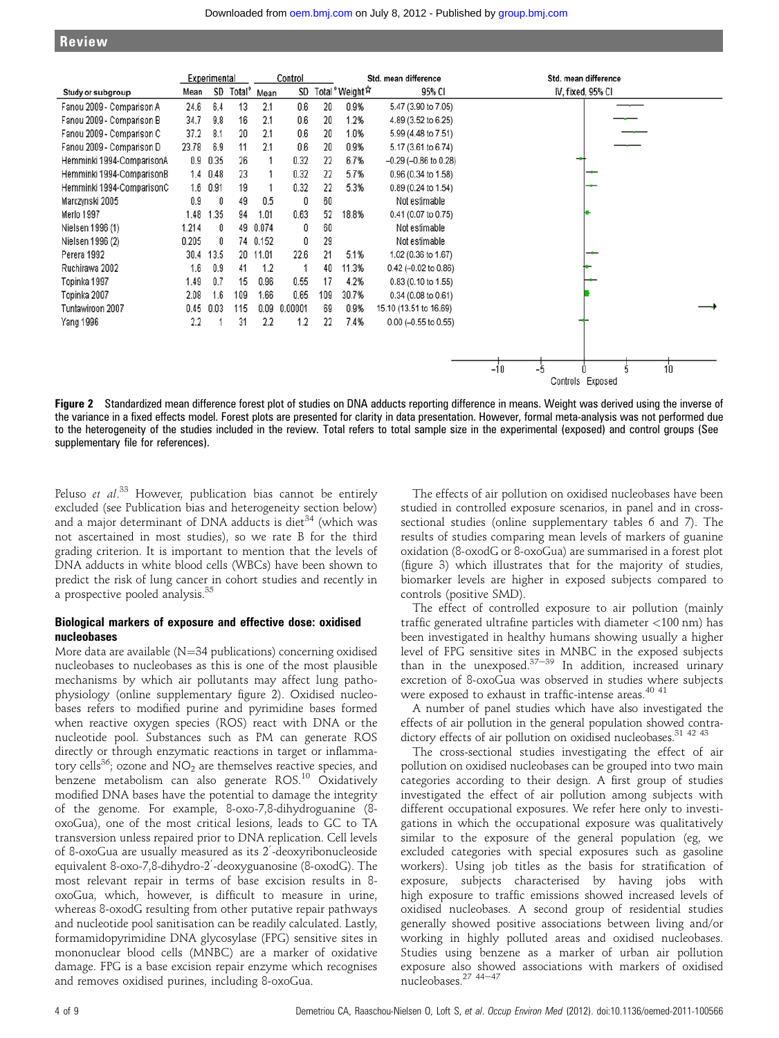|                           | Experimental |      | Control               |          |         |     | Std. mean difference                   | Std. mean difference       |                        |  |  |
|---------------------------|--------------|------|-----------------------|----------|---------|-----|----------------------------------------|----------------------------|------------------------|--|--|
| Study or subgroup         | Mean         |      | SD Total <sup>®</sup> | Mean     | SD      |     | Total <sup>o</sup> Weight <sup>*</sup> | 95% CI                     | IV, fixed, 95% CI      |  |  |
| Fanou 2009 - Comparison A | 24.6         | 6.4  | 13                    | 2.1      | 0.6     | 20  | 0.9%                                   | 5.47 (3.90 to 7.05)        |                        |  |  |
| Fanou 2009 - Comparison B | 34.7         | 9.8  | 16                    | 2.1      | 0.6     | 20  | 1.2%                                   | 4.89 (3.52 to 6.25)        |                        |  |  |
| Fanou 2009 - Comparison C | 37.2         | 8.1  | 20                    | 2.1      | 0.6     | 20  | 1.0%                                   | 5.99 (4.48 to 7.51)        |                        |  |  |
| Fanou 2009 - Comparison D | 23.78        | 6.9  | 11                    | 2.1      | 0.6     | 20  | 0.9%                                   | 5.17 (3.61 to 6.74)        |                        |  |  |
| Hemminki 1994-ComparisonA | 0.9          | 0.35 | 26                    |          | 0.32    | 22  | 6.7%                                   | $-0.29$ ( $-0.86$ to 0.28) |                        |  |  |
| Hemminki 1994-ComparisonB | 1.4          | 0.48 | 23                    |          | 0.32    | 22  | 5.7%                                   | 0.96 (0.34 to 1.58)        |                        |  |  |
| Hemminki 1994-ComparisonC | 1.6          | 0.91 | 19                    |          | 0.32    | 22  | 5.3%                                   | 0.89 (0.24 to 1.54)        |                        |  |  |
| Marczynski 2005           | 0.9          | 0    | 49                    | 0.5      | 0       | 60  |                                        | Not estimable              |                        |  |  |
| Merlo 1997                | 1.48         | 1.35 | 94                    | 1.01     | 0.63    | 52  | 18.8%                                  | 0.41 (0.07 to 0.75)        |                        |  |  |
| Nielsen 1996 (1)          | 1.214        | 0    | 49                    | 0.074    | 0       | 60  |                                        | Not estimable              |                        |  |  |
| Nielsen 1996 (2)          | 0.205        | 0    |                       | 74 0.152 | 0       | 29  |                                        | Not estimable              |                        |  |  |
| Perera 1992               | 30.4         | 13.5 | 20                    | 11.01    | 22.6    | 21  | 5.1%                                   | 1.02 (0.36 to 1.67)        |                        |  |  |
| Ruchirawa 2002            | 1.6          | 0.9  | 41                    | 1.2      |         | 40  | 11.3%                                  | $0.42$ (-0.02 to 0.86)     |                        |  |  |
| Topinka 1997              | 1.49         | 0.7  | 15                    | 0.96     | 0.55    | 17  | 4.2%                                   | 0.83 (0.10 to 1.55)        |                        |  |  |
| Topinka 2007              | 2.08         | 1.6  | 109                   | 1.66     | 0.65    | 109 | 30.7%                                  | $0.34$ (0.08 to 0.61)      |                        |  |  |
| Tuntawiroon 2007          | 0.45         | 0.03 | 115                   | 0.09     | 0.00001 | 69  | 0.9%                                   | 15.10 (13.51 to 16.69)     |                        |  |  |
| Yang 1996                 | 2.2          |      | 31                    | 2.2      | 1.2     | 22  | 7.4%                                   | $0.00$ (-0.55 to 0.55)     |                        |  |  |
|                           |              |      |                       |          |         |     |                                        |                            |                        |  |  |
|                           |              |      |                       |          |         |     |                                        |                            |                        |  |  |
|                           |              |      |                       |          |         |     |                                        |                            | -5<br>10<br>$-10$<br>5 |  |  |
|                           |              |      |                       |          |         |     |                                        |                            | Controls Exposed       |  |  |

Figure 2 Standardized mean difference forest plot of studies on DNA adducts reporting difference in means. Weight was derived using the inverse of the variance in a fixed effects model. Forest plots are presented for clarity in data presentation. However, formal meta-analysis was not performed due to the heterogeneity of the studies included in the review. Total refers to total sample size in the experimental (exposed) and control groups (See supplementary file for references).

Peluso et al.<sup>33</sup> However, publication bias cannot be entirely excluded (see Publication bias and heterogeneity section below) and a major determinant of DNA adducts is diet<sup>34</sup> (which was not ascertained in most studies), so we rate B for the third grading criterion. It is important to mention that the levels of DNA adducts in white blood cells (WBCs) have been shown to predict the risk of lung cancer in cohort studies and recently in a prospective pooled analysis.<sup>35</sup>

#### Biological markers of exposure and effective dose: oxidised nucleobases

More data are available (N=34 publications) concerning oxidised nucleobases to nucleobases as this is one of the most plausible mechanisms by which air pollutants may affect lung pathophysiology (online supplementary figure 2). Oxidised nucleobases refers to modified purine and pyrimidine bases formed when reactive oxygen species (ROS) react with DNA or the nucleotide pool. Substances such as PM can generate ROS directly or through enzymatic reactions in target or inflammatory cells<sup>36</sup>; ozone and  $NO<sub>2</sub>$  are themselves reactive species, and benzene metabolism can also generate ROS.10 Oxidatively modified DNA bases have the potential to damage the integrity of the genome. For example, 8-oxo-7,8-dihydroguanine (8 oxoGua), one of the most critical lesions, leads to GC to TA transversion unless repaired prior to DNA replication. Cell levels of 8-oxoGua are usually measured as its 2′-deoxyribonucleoside equivalent 8-oxo-7,8-dihydro-2 $^{'}$ -deoxyguanosine (8-oxodG). The most relevant repair in terms of base excision results in 8 oxoGua, which, however, is difficult to measure in urine, whereas 8-oxodG resulting from other putative repair pathways and nucleotide pool sanitisation can be readily calculated. Lastly, formamidopyrimidine DNA glycosylase (FPG) sensitive sites in mononuclear blood cells (MNBC) are a marker of oxidative damage. FPG is a base excision repair enzyme which recognises and removes oxidised purines, including 8-oxoGua.

The effects of air pollution on oxidised nucleobases have been studied in controlled exposure scenarios, in panel and in crosssectional studies (online supplementary tables 6 and 7). The results of studies comparing mean levels of markers of guanine oxidation (8-oxodG or 8-oxoGua) are summarised in a forest plot (figure 3) which illustrates that for the majority of studies, biomarker levels are higher in exposed subjects compared to controls (positive SMD).

The effect of controlled exposure to air pollution (mainly traffic generated ultrafine particles with diameter <100 nm) has been investigated in healthy humans showing usually a higher level of FPG sensitive sites in MNBC in the exposed subjects<br>than in the unexposed.<sup>37–39</sup> In addition, increased urinary excretion of 8-oxoGua was observed in studies where subjects were exposed to exhaust in traffic-intense areas.<sup>40 41</sup>

A number of panel studies which have also investigated the effects of air pollution in the general population showed contradictory effects of air pollution on oxidised nucleobases.<sup>31 42 43</sup>

The cross-sectional studies investigating the effect of air pollution on oxidised nucleobases can be grouped into two main categories according to their design. A first group of studies investigated the effect of air pollution among subjects with different occupational exposures. We refer here only to investigations in which the occupational exposure was qualitatively similar to the exposure of the general population (eg, we excluded categories with special exposures such as gasoline workers). Using job titles as the basis for stratification of exposure, subjects characterised by having jobs with high exposure to traffic emissions showed increased levels of oxidised nucleobases. A second group of residential studies generally showed positive associations between living and/or working in highly polluted areas and oxidised nucleobases. Studies using benzene as a marker of urban air pollution exposure also showed associations with markers of oxidised nucleobases.<sup>27</sup> <sup>44-47</sup>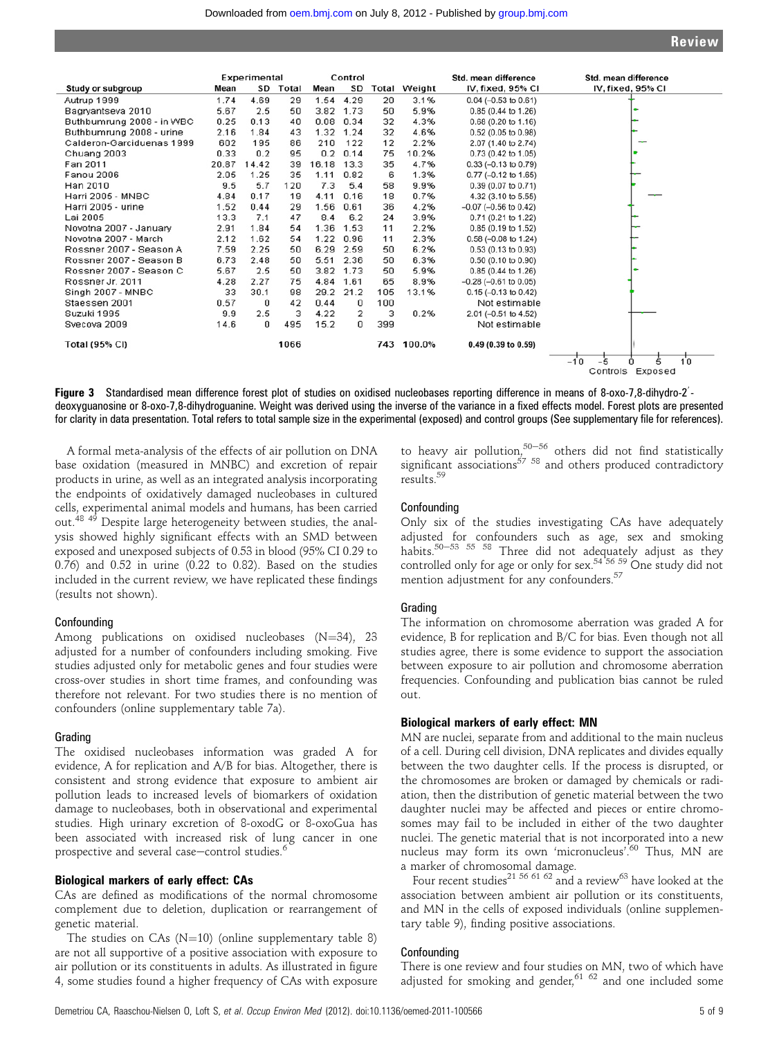|                              | Experimental |       |       | Control |      |       | Std. mean difference |                            | Std. mean difference             |  |
|------------------------------|--------------|-------|-------|---------|------|-------|----------------------|----------------------------|----------------------------------|--|
| Study or subgroup            | Mean         | SD    | Total | Mean    | SD   | Total | Weight               | IV, fixed, 95% CI          | IV, fixed, 95% CI                |  |
| Autrup 1999                  | 1.74         | 4.69  | 29    | 1.54    | 4.29 | 20    | 3.1%                 | $0.04$ (-0.53 to 0.61)     |                                  |  |
| Bagryantseva 2010            | 5.67         | 2.5   | 50    | 3.82    | 1.73 | 50    | 5.9%                 | 0.85 (0.44 to 1.26)        |                                  |  |
| Buthbumrung 2008 - in WBC    | 0.25         | 0.13  | 40    | 0.08    | 0.34 | 32    | 4.3%                 | 0.68 (0.20 to 1.16)        |                                  |  |
| Buthbumrung 2008 - urine     | 2.16         | 1.84  | 43    | 1.32    | 1.24 | 32    | 4.6%                 | 0.52 (0.05 to 0.98)        |                                  |  |
| Calderon-Garciduenas 1999    | 602          | 195   | 86    | 210     | 122  | 12    | 2.2%                 | 2.07 (1.40 to 2.74)        |                                  |  |
| Chuang 2003                  | 0.33         | 0.2   | 95    | 0.2     | 0.14 | 75    | 10.2%                | 0.73 (0.42 to 1.05)        |                                  |  |
| Fan 2011                     | 20.87        | 14.42 | 39    | 16.18   | 13.3 | 35    | 4.7%                 | $0.33$ (-0.13 to 0.79)     |                                  |  |
| <b>Fanou 2006</b>            | 2.05         | 1.25  | 35    | 1.11    | 0.82 | 6     | 1.3%                 | $0.77$ (-0.12 to 1.65)     |                                  |  |
| Han 2010                     | 9.5          | 5.7   | 120   | 7.3     | 5.4  | 58    | 9.9%                 | 0.39 (0.07 to 0.71)        |                                  |  |
| Harri 2005 - MNBC            | 4.84         | 0.17  | 19    | 4.11    | 0.16 | 18    | 0.7%                 | 4.32 (3.10 to 5.55)        |                                  |  |
| Harri 2005 - urine           | 1.52         | 0.44  | 29    | 1.56    | 0.61 | 36    | 4.2%                 | $-0.07$ ( $-0.56$ to 0.42) |                                  |  |
| Lai 2005                     | 13.3         | 7.1   | 47    | 8.4     | 6.2  | 24    | 3.9%                 | 0.71 (0.21 to 1.22)        |                                  |  |
| Novotna 2007 - January       | 2.91         | 1.84  | 54    | 1.36    | 1.53 | 11    | 2.2%                 | 0.85 (0.19 to 1.52)        |                                  |  |
| Novotna 2007 - March<br>2.12 |              | 1.62  | 54    | 1.22    | 0.96 | 11    | 2.3%                 | $0.58$ (-0.08 to 1.24)     |                                  |  |
| Rossner 2007 - Season A      | 7.59         | 2.25  | 50    | 6.29    | 2.59 | 50    | 6.2%                 | 0.53 (0.13 to 0.93)        |                                  |  |
| Rossner 2007 - Season B      | 6.73         | 2.48  | 50    | 5.51    | 2.36 | 50    | 6.3%                 | 0.50 (0.10 to 0.90)        |                                  |  |
| Rossner 2007 - Season C      | 5.67         | 2.5   | 50    | 3.82    | 1.73 | 50    | 5.9%                 | 0.85 (0.44 to 1.26)        |                                  |  |
| Rossner Jr. 2011             | 4.28         | 2.27  | 75    | 4.84    | 1.61 | 65    | 8.9%                 | $-0.28$ ( $-0.61$ to 0.05) |                                  |  |
| <b>Singh 2007 - MNBC</b>     | 33           | 30.1  | 98    | 29.2    | 21.2 | 105   | 13.1%                | $0.15$ (-0.13 to 0.42)     |                                  |  |
| Staessen 2001                | 0.57         | 0     | 42    | 0.44    | 0    | 100   |                      | Not estimable              |                                  |  |
| Suzuki 1995                  | 9.9          | 2.5   | 3     | 4.22    | 2    | 3     | 0.2%                 | 2.01 (-0.51 to 4.52)       |                                  |  |
| Svecova 2009                 | 14.6         | 0     | 495   | 15.2    | 0    | 399   |                      | Not estimable              |                                  |  |
|                              |              |       |       |         |      |       |                      |                            |                                  |  |
| Total (95% CI)               |              |       | 1066  |         |      |       | 743 100.0%           | 0.49 (0.39 to 0.59)        |                                  |  |
|                              |              |       |       |         |      |       |                      |                            | $1^{\circ}$<br>$-10$<br>-5<br>5. |  |
|                              |              |       |       |         |      |       |                      |                            | Controls<br>Exposed              |  |
|                              |              |       |       |         |      |       |                      |                            |                                  |  |

Figure 3 Standardised mean difference forest plot of studies on oxidised nucleobases reporting difference in means of 8-oxo-7,8-dihydro-2<sup>'</sup>deoxyguanosine or 8-oxo-7,8-dihydroguanine. Weight was derived using the inverse of the variance in a fixed effects model. Forest plots are presented for clarity in data presentation. Total refers to total sample size in the experimental (exposed) and control groups (See supplementary file for references).

A formal meta-analysis of the effects of air pollution on DNA base oxidation (measured in MNBC) and excretion of repair products in urine, as well as an integrated analysis incorporating the endpoints of oxidatively damaged nucleobases in cultured cells, experimental animal models and humans, has been carried out.<sup>48 49</sup> Despite large heterogeneity between studies, the analysis showed highly significant effects with an SMD between exposed and unexposed subjects of 0.53 in blood (95% CI 0.29 to 0.76) and 0.52 in urine (0.22 to 0.82). Based on the studies included in the current review, we have replicated these findings (results not shown).

#### **Confounding**

Among publications on oxidised nucleobases  $(N=34)$ , 23 adjusted for a number of confounders including smoking. Five studies adjusted only for metabolic genes and four studies were cross-over studies in short time frames, and confounding was therefore not relevant. For two studies there is no mention of confounders (online supplementary table 7a).

#### Grading

The oxidised nucleobases information was graded A for evidence, A for replication and A/B for bias. Altogether, there is consistent and strong evidence that exposure to ambient air pollution leads to increased levels of biomarkers of oxidation damage to nucleobases, both in observational and experimental studies. High urinary excretion of 8-oxodG or 8-oxoGua has been associated with increased risk of lung cancer in one prospective and several case-control studies.<sup>6</sup>

# Biological markers of early effect: CAs

CAs are defined as modifications of the normal chromosome complement due to deletion, duplication or rearrangement of genetic material.

The studies on CAs  $(N=10)$  (online supplementary table 8) are not all supportive of a positive association with exposure to air pollution or its constituents in adults. As illustrated in figure 4, some studies found a higher frequency of CAs with exposure

to heavy air pollution, $50-56$  others did not find statistically significant associations<sup>57 58</sup> and others produced contradictory results.<sup>59</sup>

# Confounding

Only six of the studies investigating CAs have adequately adjusted for confounders such as age, sex and smoking habits. $50-53$  55 58 Three did not adequately adjust as they controlled only for age or only for sex.54 56 59 One study did not mention adjustment for any confounders.<sup>57</sup>

#### Grading

The information on chromosome aberration was graded A for evidence, B for replication and B/C for bias. Even though not all studies agree, there is some evidence to support the association between exposure to air pollution and chromosome aberration frequencies. Confounding and publication bias cannot be ruled out.

# Biological markers of early effect: MN

MN are nuclei, separate from and additional to the main nucleus of a cell. During cell division, DNA replicates and divides equally between the two daughter cells. If the process is disrupted, or the chromosomes are broken or damaged by chemicals or radiation, then the distribution of genetic material between the two daughter nuclei may be affected and pieces or entire chromosomes may fail to be included in either of the two daughter nuclei. The genetic material that is not incorporated into a new nucleus may form its own 'micronucleus'.<sup>60</sup> Thus, MN are a marker of chromosomal damage.

Four recent studies<sup>21 56 61 62</sup> and a review<sup>63</sup> have looked at the association between ambient air pollution or its constituents, and MN in the cells of exposed individuals (online supplementary table 9), finding positive associations.

#### **Confounding**

There is one review and four studies on MN, two of which have adjusted for smoking and gender,  $61/62$  and one included some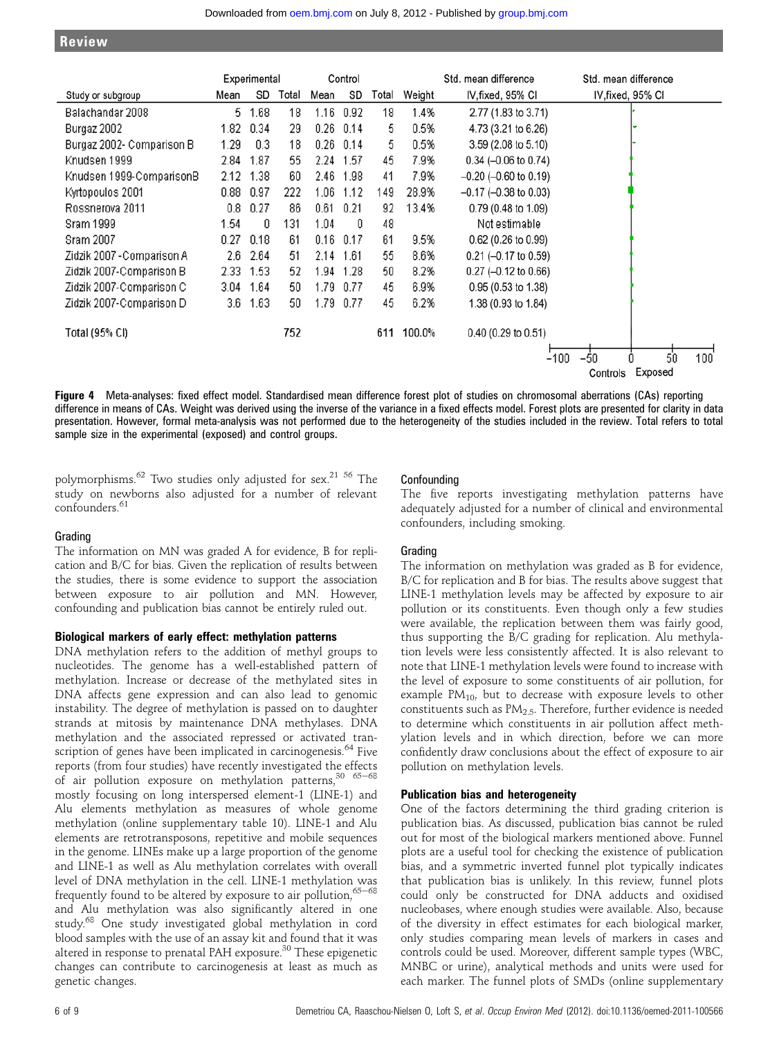# Review

|                            | Experimental |      |       | Control |      |       |        | Std. mean difference          | Std. mean difference |                   |     |
|----------------------------|--------------|------|-------|---------|------|-------|--------|-------------------------------|----------------------|-------------------|-----|
| Study or subgroup          | Mean         | SD   | Total | Mean    | SD   | Total | Weight | IV, fixed, 95% CI             |                      | IV, fixed, 95% CI |     |
| Balachandar 2008           | 5.           | 1.68 | 18    | 1.16    | 0.92 | 18    | 1.4%   | 2.77 (1.83 to 3.71)           |                      |                   |     |
| Burgaz 2002                | 1.82         | 0.34 | 29    | 0.26    | 0.14 | 5.    | 0.5%   | 4.73 (3.21 to 6.26)           |                      |                   |     |
| Burgaz 2002- Comparison B  | 1.29         | 0.3  | 18    | 0.26    | 0.14 | 5     | 0.5%   | 3.59 (2.08 to 5.10)           |                      |                   |     |
| Knudsen 1999               | 2.84         | 1.87 | 55    | 2.24    | 1.57 | 45    | 7.9%   | $0.34 (-0.06 to 0.74)$        |                      |                   |     |
| Knudsen 1999-ComparisonB   | 2.12         | 1.38 | 60    | 2.46    | 1.98 | 41    | 7.9%   | $-0.20$ ( $-0.60$ to 0.19)    |                      |                   |     |
| Kyrtopoulos 2001           | 0.88         | 0.97 | 222   | 1.06    | 1.12 | 149   | 28.9%  | $-0.17$ ( $-0.38$ to 0.03)    |                      |                   |     |
| Rossnerova 2011            | 0.8          | 0.27 | 86    | 0.61    | 0.21 | 92    | 13.4%  | 0.79 (0.48 to 1.09)           |                      |                   |     |
| Sram 1999                  | 1.54         | O    | 131   | 1.04    | 0    | 48    |        | Not estimable                 |                      |                   |     |
| Sram 2007                  | 0.27         | 0.18 | 61    | 0.16    | 0.17 | 61    | 9.5%   | $0.62$ (0.26 to 0.99)         |                      |                   |     |
| Zidzik 2007 - Comparison A | 2.6          | 2.64 | 51    | 2.14    | 1.61 | 55    | 8.6%   | $0.21$ (-0.17 to 0.59)        |                      |                   |     |
| Zidzik 2007-Comparison B   | 2.33         | 1.53 | 52    | 1.94    | 1.28 | 50    | 8.2%   | $0.27$ (-0.12 to 0.66)        |                      |                   |     |
| Zidzik 2007-Comparison C   | 3.04         | 1.64 | 50    | 1.79    | 0.77 | 45    | 6.9%   | $0.95(0.53 \text{ to } 1.38)$ |                      |                   |     |
| Zidzik 2007-Comparison D   | 3.6          | 1.63 | 50    | 1.79    | 0.77 | 45    | 6.2%   | 1.38 (0.93 to 1.84)           |                      |                   |     |
|                            |              |      |       |         |      |       |        |                               |                      |                   |     |
| Total (95% CI)             |              |      | 752   |         |      | 611   | 100.0% | $0.40$ (0.29 to 0.51)         |                      |                   |     |
|                            |              |      |       |         |      |       |        | $-100$                        | -50                  | 50                | 100 |
|                            |              |      |       |         |      |       |        |                               | Controls             | Exposed           |     |

Figure 4 Meta-analyses: fixed effect model. Standardised mean difference forest plot of studies on chromosomal aberrations (CAs) reporting difference in means of CAs. Weight was derived using the inverse of the variance in a fixed effects model. Forest plots are presented for clarity in data presentation. However, formal meta-analysis was not performed due to the heterogeneity of the studies included in the review. Total refers to total sample size in the experimental (exposed) and control groups.

polymorphisms.<sup>62</sup> Two studies only adjusted for sex.<sup>21 56</sup> The study on newborns also adjusted for a number of relevant confounders.<sup>61</sup>

#### Grading

The information on MN was graded A for evidence, B for replication and B/C for bias. Given the replication of results between the studies, there is some evidence to support the association between exposure to air pollution and MN. However, confounding and publication bias cannot be entirely ruled out.

#### Biological markers of early effect: methylation patterns

DNA methylation refers to the addition of methyl groups to nucleotides. The genome has a well-established pattern of methylation. Increase or decrease of the methylated sites in DNA affects gene expression and can also lead to genomic instability. The degree of methylation is passed on to daughter strands at mitosis by maintenance DNA methylases. DNA methylation and the associated repressed or activated transcription of genes have been implicated in carcinogenesis.<sup>64</sup> Five reports (from four studies) have recently investigated the effects of air pollution exposure on methylation patterns,  $30$   $65-68$ mostly focusing on long interspersed element-1 (LINE-1) and Alu elements methylation as measures of whole genome methylation (online supplementary table 10). LINE-1 and Alu elements are retrotransposons, repetitive and mobile sequences in the genome. LINEs make up a large proportion of the genome and LINE-1 as well as Alu methylation correlates with overall level of DNA methylation in the cell. LINE-1 methylation was frequently found to be altered by exposure to air pollution,  $65-68$ and Alu methylation was also significantly altered in one study.<sup>68</sup> One study investigated global methylation in cord blood samples with the use of an assay kit and found that it was altered in response to prenatal PAH exposure.<sup>30</sup> These epigenetic changes can contribute to carcinogenesis at least as much as genetic changes.

# **Confounding**

The five reports investigating methylation patterns have adequately adjusted for a number of clinical and environmental confounders, including smoking.

# Grading

The information on methylation was graded as B for evidence, B/C for replication and B for bias. The results above suggest that LINE-1 methylation levels may be affected by exposure to air pollution or its constituents. Even though only a few studies were available, the replication between them was fairly good, thus supporting the B/C grading for replication. Alu methylation levels were less consistently affected. It is also relevant to note that LINE-1 methylation levels were found to increase with the level of exposure to some constituents of air pollution, for example  $PM_{10}$ , but to decrease with exposure levels to other constituents such as  $PM<sub>2.5</sub>$ . Therefore, further evidence is needed to determine which constituents in air pollution affect methylation levels and in which direction, before we can more confidently draw conclusions about the effect of exposure to air pollution on methylation levels.

#### Publication bias and heterogeneity

One of the factors determining the third grading criterion is publication bias. As discussed, publication bias cannot be ruled out for most of the biological markers mentioned above. Funnel plots are a useful tool for checking the existence of publication bias, and a symmetric inverted funnel plot typically indicates that publication bias is unlikely. In this review, funnel plots could only be constructed for DNA adducts and oxidised nucleobases, where enough studies were available. Also, because of the diversity in effect estimates for each biological marker, only studies comparing mean levels of markers in cases and controls could be used. Moreover, different sample types (WBC, MNBC or urine), analytical methods and units were used for each marker. The funnel plots of SMDs (online supplementary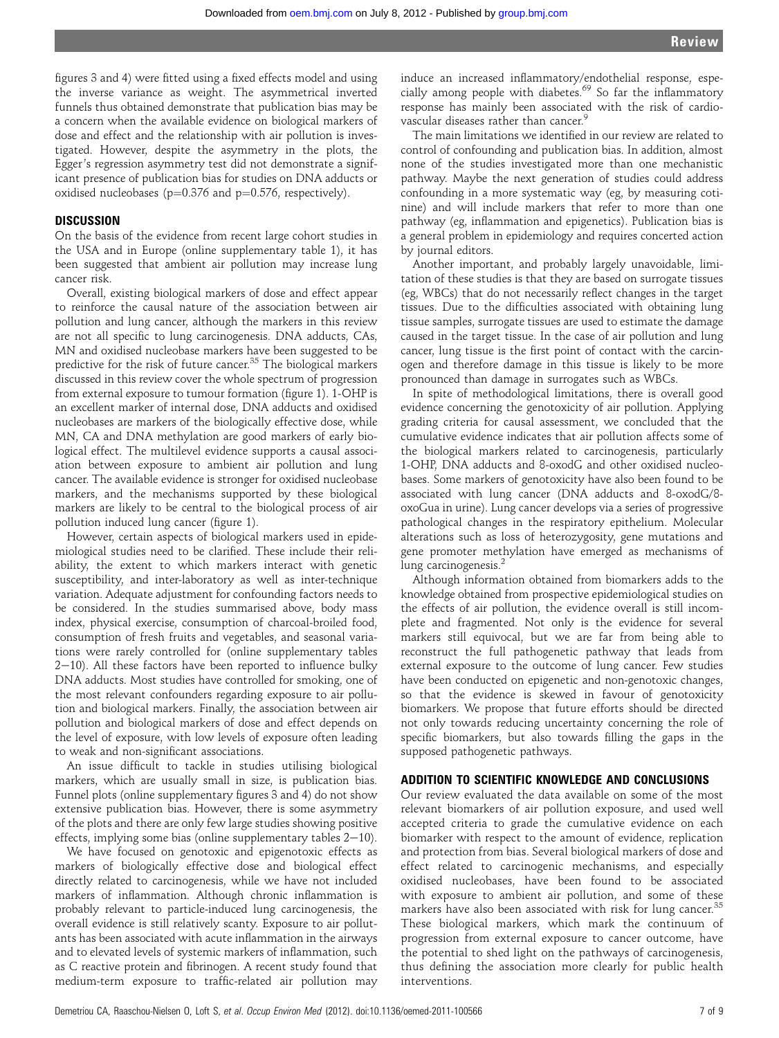figures 3 and 4) were fitted using a fixed effects model and using the inverse variance as weight. The asymmetrical inverted funnels thus obtained demonstrate that publication bias may be a concern when the available evidence on biological markers of dose and effect and the relationship with air pollution is investigated. However, despite the asymmetry in the plots, the Egger's regression asymmetry test did not demonstrate a significant presence of publication bias for studies on DNA adducts or oxidised nucleobases ( $p=0.376$  and  $p=0.576$ , respectively).

#### **DISCUSSION**

On the basis of the evidence from recent large cohort studies in the USA and in Europe (online supplementary table 1), it has been suggested that ambient air pollution may increase lung cancer risk.

Overall, existing biological markers of dose and effect appear to reinforce the causal nature of the association between air pollution and lung cancer, although the markers in this review are not all specific to lung carcinogenesis. DNA adducts, CAs, MN and oxidised nucleobase markers have been suggested to be predictive for the risk of future cancer.<sup>35</sup> The biological markers discussed in this review cover the whole spectrum of progression from external exposure to tumour formation (figure 1). 1-OHP is an excellent marker of internal dose, DNA adducts and oxidised nucleobases are markers of the biologically effective dose, while MN, CA and DNA methylation are good markers of early biological effect. The multilevel evidence supports a causal association between exposure to ambient air pollution and lung cancer. The available evidence is stronger for oxidised nucleobase markers, and the mechanisms supported by these biological markers are likely to be central to the biological process of air pollution induced lung cancer (figure 1).

However, certain aspects of biological markers used in epidemiological studies need to be clarified. These include their reliability, the extent to which markers interact with genetic susceptibility, and inter-laboratory as well as inter-technique variation. Adequate adjustment for confounding factors needs to be considered. In the studies summarised above, body mass index, physical exercise, consumption of charcoal-broiled food, consumption of fresh fruits and vegetables, and seasonal variations were rarely controlled for (online supplementary tables  $2-10$ ). All these factors have been reported to influence bulky DNA adducts. Most studies have controlled for smoking, one of the most relevant confounders regarding exposure to air pollution and biological markers. Finally, the association between air pollution and biological markers of dose and effect depends on the level of exposure, with low levels of exposure often leading to weak and non-significant associations.

An issue difficult to tackle in studies utilising biological markers, which are usually small in size, is publication bias. Funnel plots (online supplementary figures 3 and 4) do not show extensive publication bias. However, there is some asymmetry of the plots and there are only few large studies showing positive effects, implying some bias (online supplementary tables  $2-10$ ).

We have focused on genotoxic and epigenotoxic effects as markers of biologically effective dose and biological effect directly related to carcinogenesis, while we have not included markers of inflammation. Although chronic inflammation is probably relevant to particle-induced lung carcinogenesis, the overall evidence is still relatively scanty. Exposure to air pollutants has been associated with acute inflammation in the airways and to elevated levels of systemic markers of inflammation, such as C reactive protein and fibrinogen. A recent study found that medium-term exposure to traffic-related air pollution may

induce an increased inflammatory/endothelial response, especially among people with diabetes.<sup>69</sup> So far the inflammatory response has mainly been associated with the risk of cardiovascular diseases rather than cancer.<sup>9</sup>

The main limitations we identified in our review are related to control of confounding and publication bias. In addition, almost none of the studies investigated more than one mechanistic pathway. Maybe the next generation of studies could address confounding in a more systematic way (eg, by measuring cotinine) and will include markers that refer to more than one pathway (eg, inflammation and epigenetics). Publication bias is a general problem in epidemiology and requires concerted action by journal editors.

Another important, and probably largely unavoidable, limitation of these studies is that they are based on surrogate tissues (eg, WBCs) that do not necessarily reflect changes in the target tissues. Due to the difficulties associated with obtaining lung tissue samples, surrogate tissues are used to estimate the damage caused in the target tissue. In the case of air pollution and lung cancer, lung tissue is the first point of contact with the carcinogen and therefore damage in this tissue is likely to be more pronounced than damage in surrogates such as WBCs.

In spite of methodological limitations, there is overall good evidence concerning the genotoxicity of air pollution. Applying grading criteria for causal assessment, we concluded that the cumulative evidence indicates that air pollution affects some of the biological markers related to carcinogenesis, particularly 1-OHP, DNA adducts and 8-oxodG and other oxidised nucleobases. Some markers of genotoxicity have also been found to be associated with lung cancer (DNA adducts and 8-oxodG/8 oxoGua in urine). Lung cancer develops via a series of progressive pathological changes in the respiratory epithelium. Molecular alterations such as loss of heterozygosity, gene mutations and gene promoter methylation have emerged as mechanisms of lung carcinogenesis.<sup>2</sup>

Although information obtained from biomarkers adds to the knowledge obtained from prospective epidemiological studies on the effects of air pollution, the evidence overall is still incomplete and fragmented. Not only is the evidence for several markers still equivocal, but we are far from being able to reconstruct the full pathogenetic pathway that leads from external exposure to the outcome of lung cancer. Few studies have been conducted on epigenetic and non-genotoxic changes, so that the evidence is skewed in favour of genotoxicity biomarkers. We propose that future efforts should be directed not only towards reducing uncertainty concerning the role of specific biomarkers, but also towards filling the gaps in the supposed pathogenetic pathways.

#### ADDITION TO SCIENTIFIC KNOWLEDGE AND CONCLUSIONS

Our review evaluated the data available on some of the most relevant biomarkers of air pollution exposure, and used well accepted criteria to grade the cumulative evidence on each biomarker with respect to the amount of evidence, replication and protection from bias. Several biological markers of dose and effect related to carcinogenic mechanisms, and especially oxidised nucleobases, have been found to be associated with exposure to ambient air pollution, and some of these markers have also been associated with risk for lung cancer.<sup>35</sup> These biological markers, which mark the continuum of progression from external exposure to cancer outcome, have the potential to shed light on the pathways of carcinogenesis, thus defining the association more clearly for public health interventions.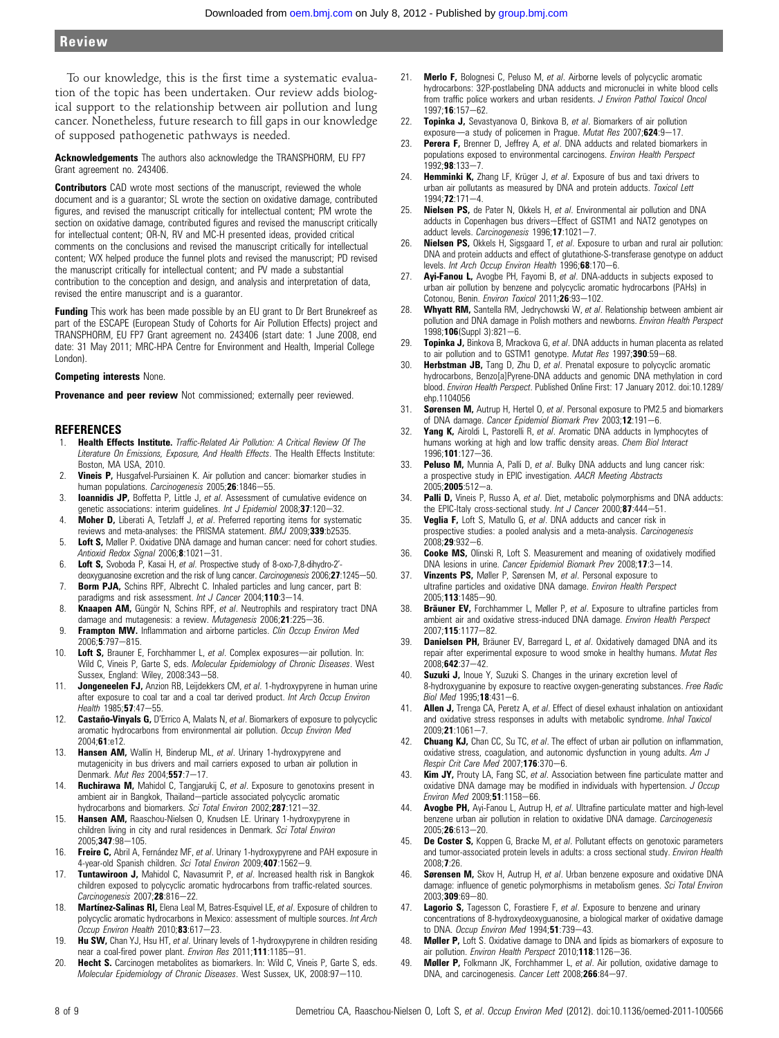# Review

To our knowledge, this is the first time a systematic evaluation of the topic has been undertaken. Our review adds biological support to the relationship between air pollution and lung cancer. Nonetheless, future research to fill gaps in our knowledge of supposed pathogenetic pathways is needed.

Acknowledgements The authors also acknowledge the TRANSPHORM, EU FP7 Grant agreement no. 243406.

**Contributors** CAD wrote most sections of the manuscript, reviewed the whole document and is a guarantor; SL wrote the section on oxidative damage, contributed figures, and revised the manuscript critically for intellectual content; PM wrote the section on oxidative damage, contributed figures and revised the manuscript critically for intellectual content; OR-N, RV and MC-H presented ideas, provided critical comments on the conclusions and revised the manuscript critically for intellectual content; WX helped produce the funnel plots and revised the manuscript; PD revised the manuscript critically for intellectual content; and PV made a substantial contribution to the conception and design, and analysis and interpretation of data, revised the entire manuscript and is a guarantor.

Funding This work has been made possible by an EU grant to Dr Bert Brunekreef as part of the ESCAPE (European Study of Cohorts for Air Pollution Effects) project and TRANSPHORM, EU FP7 Grant agreement no. 243406 (start date: 1 June 2008, end date: 31 May 2011; MRC-HPA Centre for Environment and Health, Imperial College London).

#### Competing interests None.

Provenance and peer review Not commissioned; externally peer reviewed.

#### **REFERENCES**

- 1. **Health Effects Institute.** Traffic-Related Air Pollution: A Critical Review Of The Literature On Emissions, Exposure, And Health Effects. The Health Effects Institute: Boston, MA USA, 2010.
- 2. Vineis P, Husgafvel-Pursiainen K. Air pollution and cancer: biomarker studies in human populations. Carcinogenesis 2005;26:1846-55.
- 3. **Ioannidis JP,** Boffetta P, Little J, et al. Assessment of cumulative evidence on genetic associations: interim guidelines. Int J Epidemiol 2008;37:120-32.
- 4. **Moher D,** Liberati A, Tetzlaff J, et al. Preferred reporting items for systematic reviews and meta-analyses: the PRISMA statement. BMJ 2009;339:b2535.
- 5. Loft S, Møller P. Oxidative DNA damage and human cancer: need for cohort studies. Antioxid Redox Signal 2006; $8:1021-31$ .
- 6. Loft S, Svoboda P, Kasai H, et al. Prospective study of 8-oxo-7,8-dihydro-2' deoxyguanosine excretion and the risk of lung cancer. Carcinogenesis 2006;27:1245-50.
- 7. **Borm PJA,** Schins RPF, Albrecht C. Inhaled particles and lung cancer, part B: paradigms and risk assessment. Int J Cancer 2004;110:3-14.
- 8. Knaapen AM, Güngör N, Schins RPF, et al. Neutrophils and respiratory tract DNA damage and mutagenesis: a review. Mutagenesis  $2006;$ **21**:225 $-36$ .
- 9. Frampton MW. Inflammation and airborne particles. Clin Occup Environ Med 2006;5:797-815.
- 10. Loft S, Brauner E, Forchhammer L, et al. Complex exposures-air pollution. In: Wild C, Vineis P, Garte S, eds. Molecular Epidemiology of Chronic Diseases. West Sussex, England: Wiley, 2008:343-58.
- 11. **Jongeneelen FJ,** Anzion RB, Leijdekkers CM, et al. 1-hydroxypyrene in human urine after exposure to coal tar and a coal tar derived product. Int Arch Occup Environ Health 1985;57:47-55.
- 12. **Castaño-Vinyals G,** D'Errico A, Malats N, et al. Biomarkers of exposure to polycyclic aromatic hydrocarbons from environmental air pollution. Occup Environ Med 2004;61:e12.
- 13. Hansen AM, Wallin H, Binderup ML, et al. Urinary 1-hydroxypyrene and mutagenicity in bus drivers and mail carriers exposed to urban air pollution in Denmark. Mut Res 2004;557:7-17.
- 14. **Ruchirawa M,** Mahidol C, Tangjarukij C, et al. Exposure to genotoxins present in ambient air in Bangkok, Thailand-particle associated polycyclic aromatic hydrocarbons and biomarkers. Sci Total Environ 2002;287:121-32.
- 15. Hansen AM, Raaschou-Nielsen O, Knudsen LE. Urinary 1-hydroxypyrene in children living in city and rural residences in Denmark. Sci Total Environ 2005;347:98-105.
- 16. Freire C, Abril A, Fernández MF, et al. Urinary 1-hydroxypyrene and PAH exposure in 4-year-old Spanish children. Sci Total Environ 2009;407:1562-9.
- 17. Tuntawiroon J, Mahidol C, Navasumrit P, et al. Increased health risk in Bangkok children exposed to polycyclic aromatic hydrocarbons from traffic-related sources.  $Carcinogenesis$  2007; $28:816-22$ .
- 18. Martínez-Salinas RI, Elena Leal M, Batres-Esquivel LE, et al. Exposure of children to polycyclic aromatic hydrocarbons in Mexico: assessment of multiple sources. Int Arch Occup Environ Health  $2010;83:617-23$ .
- 19. Hu SW, Chan YJ, Hsu HT, et al. Urinary levels of 1-hydroxypyrene in children residing near a coal-fired power plant. Environ Res 2011;111:1185-91.
- 20. Hecht S. Carcinogen metabolites as biomarkers. In: Wild C, Vineis P, Garte S, eds. Molecular Epidemiology of Chronic Diseases. West Sussex, UK, 2008:97-110.
- 21. **Merlo F**, Bolognesi C, Peluso M, et al. Airborne levels of polycyclic aromatic hydrocarbons: 32P-postlabeling DNA adducts and micronuclei in white blood cells from traffic police workers and urban residents. J Environ Pathol Toxicol Oncol 1997:16:157-62.
- 22. Topinka J, Sevastyanova O, Binkova B, et al. Biomarkers of air pollution exposure-a study of policemen in Prague. Mutat Res 2007;624:9-17.
- 23. Perera F, Brenner D, Jeffrey A, et al. DNA adducts and related biomarkers in populations exposed to environmental carcinogens. Environ Health Perspect 1992;98:133-7
- 24. Hemminki K, Zhang LF, Krüger J, et al. Exposure of bus and taxi drivers to urban air pollutants as measured by DNA and protein adducts. Toxicol Lett 1994:72:171-4.
- 25. Nielsen PS, de Pater N, Okkels H, et al. Environmental air pollution and DNA adducts in Copenhagen bus drivers-Effect of GSTM1 and NAT2 genotypes on adduct levels.  $Carcino aeness$  1996:17:1021-7.
- 26. Nielsen PS, Okkels H, Sigsgaard T, et al. Exposure to urban and rural air pollution: DNA and protein adducts and effect of glutathione-S-transferase genotype on adduct levels. Int Arch Occup Environ Health 1996;68:170-6.
- 27. Ayi-Fanou L, Avogbe PH, Fayomi B, et al. DNA-adducts in subjects exposed to urban air pollution by benzene and polycyclic aromatic hydrocarbons (PAHs) in Cotonou, Benin. Environ Toxicol 2011;26:93-102.
- Whyatt RM, Santella RM, Jedrychowski W, et al. Relationship between ambient air pollution and DNA damage in Polish mothers and newborns. Environ Health Perspect 1998;106(Suppl 3):821-6.
- **Topinka J,** Binkova B, Mrackova G, et al. DNA adducts in human placenta as related to air pollution and to GSTM1 genotype. Mutat Res 1997;390:59-68.
- 30. Herbstman JB, Tang D, Zhu D, et al. Prenatal exposure to polycyclic aromatic hydrocarbons, Benzo[a]Pyrene-DNA adducts and genomic DNA methylation in cord blood. Environ Health Perspect. Published Online First: 17 January 2012. doi:10.1289/ ehp.1104056
- 31. **Sørensen M,** Autrup H, Hertel O, et al. Personal exposure to PM2.5 and biomarkers of DNA damage. Cancer Epidemiol Biomark Prev 2003;12:191-6.
- 32. Yang K, Airoldi L, Pastorelli R, et al. Aromatic DNA adducts in lymphocytes of humans working at high and low traffic density areas. Chem Biol Interact 1996;101:127-36.
- 33. Peluso M, Munnia A, Palli D, et al. Bulky DNA adducts and lung cancer risk: a prospective study in EPIC investigation. AACR Meeting Abstracts  $2005, 2005.512 - a.$
- 34. Palli D, Vineis P, Russo A, et al. Diet, metabolic polymorphisms and DNA adducts: the EPIC-Italy cross-sectional study. Int J Cancer 2000;87:444-51.
- 35. Veglia F, Loft S, Matullo G, et al. DNA adducts and cancer risk in prospective studies: a pooled analysis and a meta-analysis. Carcinogenesis  $2008;29:932-6.$
- 36. **Cooke MS,** Olinski R, Loft S. Measurement and meaning of oxidatively modified DNA lesions in urine. Cancer Epidemiol Biomark Prev 2008;17:3-14.
- 37. Vinzents PS, Møller P, Sørensen M, et al. Personal exposure to ultrafine particles and oxidative DNA damage. Environ Health Perspect 2005;113:1485-90.
- 38. Bräuner EV, Forchhammer L, Møller P, et al. Exposure to ultrafine particles from ambient air and oxidative stress-induced DNA damage. Environ Health Perspect  $2007:115:1177 - 82$
- 39. Danielsen PH, Bräuner EV, Barregard L, et al. Oxidatively damaged DNA and its repair after experimental exposure to wood smoke in healthy humans. Mutat Res 2008;642:37-42.
- 40. **Suzuki J,** Inoue Y, Suzuki S. Changes in the urinary excretion level of 8-hydroxyguanine by exposure to reactive oxygen-generating substances. Free Radic Biol Med  $1995; 18:431 - 6$ .
- 41. Allen J, Trenga CA, Peretz A, et al. Effect of diesel exhaust inhalation on antioxidant and oxidative stress responses in adults with metabolic syndrome. Inhal Toxicol  $2009:21:1061 - 7.$
- 42. Chuang KJ, Chan CC, Su TC, et al. The effect of urban air pollution on inflammation, oxidative stress, coagulation, and autonomic dysfunction in young adults. Am J Respir Crit Care Med 2007;176:370-6.
- 43. **Kim JY,** Prouty LA, Fang SC, et al. Association between fine particulate matter and oxidative DNA damage may be modified in individuals with hypertension. J Occup Environ Med 2009:51:1158-66.
- 44. Avogbe PH, Ayi-Fanou L, Autrup H, et al. Ultrafine particulate matter and high-level benzene urban air pollution in relation to oxidative DNA damage. Carcinogenesis  $2005;26:613-20.$
- 45. **De Coster S,** Koppen G, Bracke M, et al. Pollutant effects on genotoxic parameters and tumor-associated protein levels in adults: a cross sectional study. Environ Health 2008;7:26.
- 46. Sørensen M, Skov H, Autrup H, et al. Urban benzene exposure and oxidative DNA damage: influence of genetic polymorphisms in metabolism genes. Sci Total Environ  $2003;309:69-80.$
- 47. Lagorio S, Tagesson C, Forastiere F, et al. Exposure to benzene and urinary concentrations of 8-hydroxydeoxyguanosine, a biological marker of oxidative damage to DNA. Occup Environ Med  $1994;51:739-43$ .
- 48. **Møller P,** Loft S. Oxidative damage to DNA and lipids as biomarkers of exposure to air pollution. Environ Health Perspect 2010;118:1126-36.
- 49. **Møller P,** Folkmann JK, Forchhammer L, et al. Air pollution, oxidative damage to DNA, and carcinogenesis. Cancer Lett 2008;266:84-97.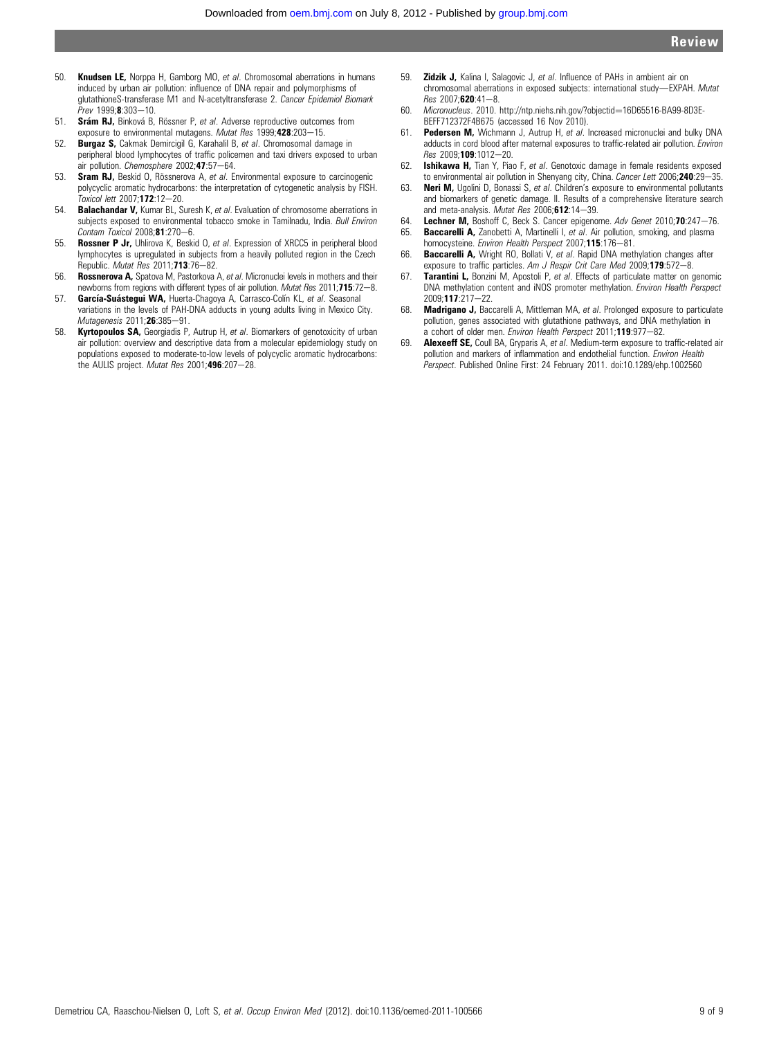- 50. **Knudsen LE,** Norppa H, Gamborg MO, et al. Chromosomal aberrations in humans induced by urban air pollution: influence of DNA repair and polymorphisms of glutathioneS-transferase M1 and N-acetyltransferase 2. Cancer Epidemiol Biomark Prev 1999;8:303-10.
- 51. **Srám RJ,** Binková B, Rössner P, et al. Adverse reproductive outcomes from exposure to environmental mutagens. Mutat Res  $1999;$ 428:203-15.
- 52. **Burgaz S,** Cakmak Demircigil G, Karahalil B, et al. Chromosomal damage in peripheral blood lymphocytes of traffic policemen and taxi drivers exposed to urban air pollution. Chemosphere  $2002,47.57-64$ .
- 53. **Sram RJ,** Beskid O, Rössnerova A, et al. Environmental exposure to carcinogenic polycyclic aromatic hydrocarbons: the interpretation of cytogenetic analysis by FISH. Toxicol lett 2007:172:12-20.
- 54. **Balachandar V,** Kumar BL, Suresh K, et al. Evaluation of chromosome aberrations in subjects exposed to environmental tobacco smoke in Tamilnadu, India. Bull Environ Contam Toxicol 2008:81:270-6.
- 55. **Rossner P Jr,** Uhlirova K, Beskid O, et al. Expression of XRCC5 in peripheral blood lymphocytes is upregulated in subjects from a heavily polluted region in the Czech Republic. Mutat Res 2011;713:76-82.
- 56. Rossnerova A, Spatova M, Pastorkova A, et al. Micronuclei levels in mothers and their newborns from regions with different types of air pollution. *Mutat Res* 2011; **715**:72-8.
- 57. García-Suástegui WA, Huerta-Chagoya A, Carrasco-Colín KL, et al. Seasonal variations in the levels of PAH-DNA adducts in young adults living in Mexico City. Mutagenesis 2011;26:385-91.
- 58. Kyrtopoulos SA, Georgiadis P, Autrup H, et al. Biomarkers of genotoxicity of urban air pollution: overview and descriptive data from a molecular epidemiology study on populations exposed to moderate-to-low levels of polycyclic aromatic hydrocarbons: the AULIS project. Mutat Res  $2001;496:207-28$ .
- 59. **Zidzik J**, Kalina J, Salagovic J, et al. Influence of PAHs in ambient air on chromosomal aberrations in exposed subjects: international study-EXPAH. Mutat  $Res$  2007;620:41-8.
- 60. Micronucleus. 2010. http://ntp.niehs.nih.gov/?objectid=16D65516-BA99-8D3E-BEFF712372F4B675 (accessed 16 Nov 2010).
- 61. **Pedersen M,** Wichmann J, Autrup H, et al. Increased micronuclei and bulky DNA adducts in cord blood after maternal exposures to traffic-related air pollution. Environ  $Res$  2009:109:1012-20.
- 62. **Ishikawa H,** Tian Y, Piao F, et al. Genotoxic damage in female residents exposed to environmental air pollution in Shenyang city, China. Cancer Lett 2006;240:29-35.
- 63. **Neri M,** Ugolini D, Bonassi S, et al. Children's exposure to environmental pollutants and biomarkers of genetic damage. II. Results of a comprehensive literature search and meta-analysis. Mutat Res  $2006;612:14-39$ .
- 64. Lechner M, Boshoff C, Beck S. Cancer epigenome. Adv Genet 2010;70:247-76. **Baccarelli A,** Zanobetti A, Martinelli I, et al. Air pollution, smoking, and plasma homocysteine. Environ Health Perspect 2007;115:176-81.
- 66. Baccarelli A, Wright RO, Bollati V, et al. Rapid DNA methylation changes after exposure to traffic particles. Am J Respir Crit Care Med 2009;179:572-8.
- **Tarantini L,** Bonzini M, Apostoli P, et al. Effects of particulate matter on genomic DNA methylation content and iNOS promoter methylation. Environ Health Perspect 2009:117:217-22
- 68. Madrigano J, Baccarelli A, Mittleman MA, et al. Prolonged exposure to particulate pollution, genes associated with glutathione pathways, and DNA methylation in a cohort of older men. Environ Health Perspect 2011;119:977-82.
- **Alexeeff SE,** Coull BA, Gryparis A, et al. Medium-term exposure to traffic-related air pollution and markers of inflammation and endothelial function. *Environ Health* Perspect. Published Online First: 24 February 2011. doi:10.1289/ehp.1002560